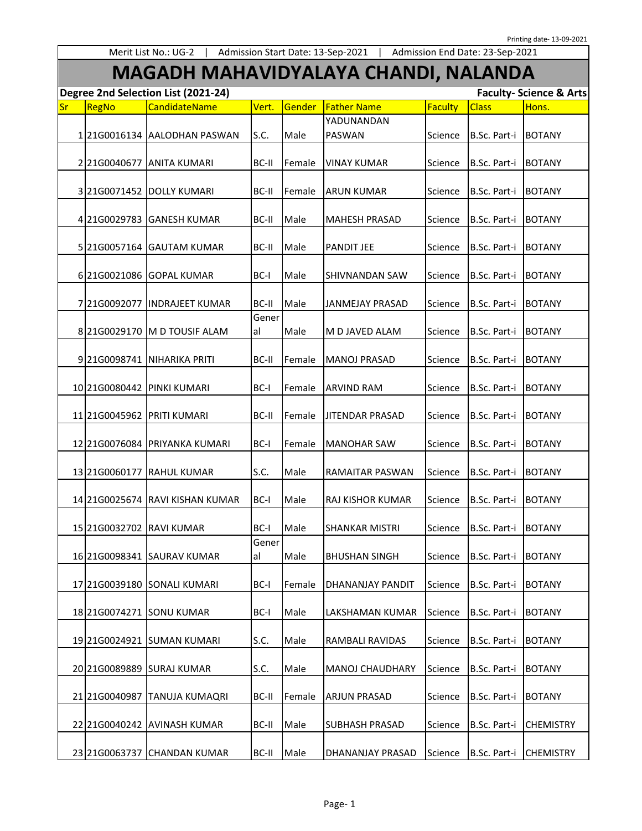## **MAGADH MAHAVIDYALAYA CHANDI, NALANDA**

|           | Degree 2nd Selection List (2021-24)<br><b>Faculty- Science &amp; Arts</b> |                                 |             |        |                        |         |              |                  |  |
|-----------|---------------------------------------------------------------------------|---------------------------------|-------------|--------|------------------------|---------|--------------|------------------|--|
| <b>Sr</b> | RegNo                                                                     | CandidateName                   | Vert.       | Gender | <b>Father Name</b>     | Faculty | <b>Class</b> | Hons.            |  |
|           |                                                                           | 12160016134 AALODHAN PASWAN     | S.C.        | Male   | YADUNANDAN<br>PASWAN   | Science | B.Sc. Part-i | <b>BOTANY</b>    |  |
|           | 221G0040677                                                               | <b>ANITA KUMARI</b>             | BC-II       | Female | <b>VINAY KUMAR</b>     | Science | B.Sc. Part-i | <b>BOTANY</b>    |  |
|           |                                                                           | 3 21 G0071452 DOLLY KUMARI      | BC-II       | Female | <b>ARUN KUMAR</b>      | Science | B.Sc. Part-i | <b>BOTANY</b>    |  |
|           |                                                                           | 4 21G0029783 GANESH KUMAR       | BC-II       | Male   | <b>MAHESH PRASAD</b>   | Science | B.Sc. Part-i | <b>BOTANY</b>    |  |
|           | 5 21G0057164                                                              | <b>GAUTAM KUMAR</b>             | BC-II       | Male   | <b>PANDIT JEE</b>      | Science | B.Sc. Part-i | <b>BOTANY</b>    |  |
|           | 6 21G0021086                                                              | <b>GOPAL KUMAR</b>              | BC-I        | Male   | <b>SHIVNANDAN SAW</b>  | Science | B.Sc. Part-i | <b>BOTANY</b>    |  |
|           | 7 21G0092077                                                              | <b>INDRAJEET KUMAR</b>          | BC-II       | Male   | JANMEJAY PRASAD        | Science | B.Sc. Part-i | <b>BOTANY</b>    |  |
|           |                                                                           | 8 21 G0029170 M D TOUSIF ALAM   | Gener<br>al | Male   | M D JAVED ALAM         | Science | B.Sc. Part-i | <b>BOTANY</b>    |  |
|           |                                                                           | 9 21 G0098741 NIHARIKA PRITI    | BC-II       | Female | <b>MANOJ PRASAD</b>    | Science | B.Sc. Part-i | <b>BOTANY</b>    |  |
|           | 10 21G0080442                                                             | <b>PINKI KUMARI</b>             | BC-I        | Female | <b>ARVIND RAM</b>      | Science | B.Sc. Part-i | <b>BOTANY</b>    |  |
|           | 11 21G0045962                                                             | <b>PRITI KUMARI</b>             | BC-II       | Female | JITENDAR PRASAD        | Science | B.Sc. Part-i | <b>BOTANY</b>    |  |
|           |                                                                           | 12 21 G007 6084 PRIYANKA KUMARI | BC-I        | Female | <b>MANOHAR SAW</b>     | Science | B.Sc. Part-i | <b>BOTANY</b>    |  |
|           |                                                                           | 13 21G0060177 RAHUL KUMAR       | S.C.        | Male   | RAMAITAR PASWAN        | Science | B.Sc. Part-i | <b>BOTANY</b>    |  |
|           | 14 21G0025674                                                             | <b>RAVI KISHAN KUMAR</b>        | BC-I        | Male   | RAJ KISHOR KUMAR       | Science | B.Sc. Part-i | <b>BOTANY</b>    |  |
|           | 15 21G0032702                                                             | <b>RAVI KUMAR</b>               | BC-I        | Male   | <b>SHANKAR MISTRI</b>  | Science | B.Sc. Part-i | <b>BOTANY</b>    |  |
|           |                                                                           | 16 21G0098341 SAURAV KUMAR      | Gener<br>al | Male   | <b>BHUSHAN SINGH</b>   | Science | B.Sc. Part-i | <b>BOTANY</b>    |  |
|           |                                                                           | 17 21 G0039180 SONALI KUMARI    | BC-I        | Female | DHANANJAY PANDIT       | Science | B.Sc. Part-i | <b>BOTANY</b>    |  |
|           |                                                                           | 18 21 G0074271 SONU KUMAR       | BC-I        | Male   | LAKSHAMAN KUMAR        | Science | B.Sc. Part-i | <b>BOTANY</b>    |  |
|           |                                                                           | 19 21 G0024921 SUMAN KUMARI     | S.C.        | Male   | RAMBALI RAVIDAS        | Science | B.Sc. Part-i | <b>BOTANY</b>    |  |
|           |                                                                           | 20 21 G0089889 SURAJ KUMAR      | S.C.        | Male   | <b>MANOJ CHAUDHARY</b> | Science | B.Sc. Part-i | <b>BOTANY</b>    |  |
|           | 21 21 G0040987                                                            | ITANUJA KUMAQRI                 | BC-II       | Female | <b>ARJUN PRASAD</b>    | Science | B.Sc. Part-i | <b>BOTANY</b>    |  |
|           |                                                                           | 22 21G0040242 AVINASH KUMAR     | BC-II       | Male   | <b>SUBHASH PRASAD</b>  | Science | B.Sc. Part-i | <b>CHEMISTRY</b> |  |
|           |                                                                           | 23 21 G0063737 CHANDAN KUMAR    | BC-II       | Male   | DHANANJAY PRASAD       | Science | B.Sc. Part-i | <b>CHEMISTRY</b> |  |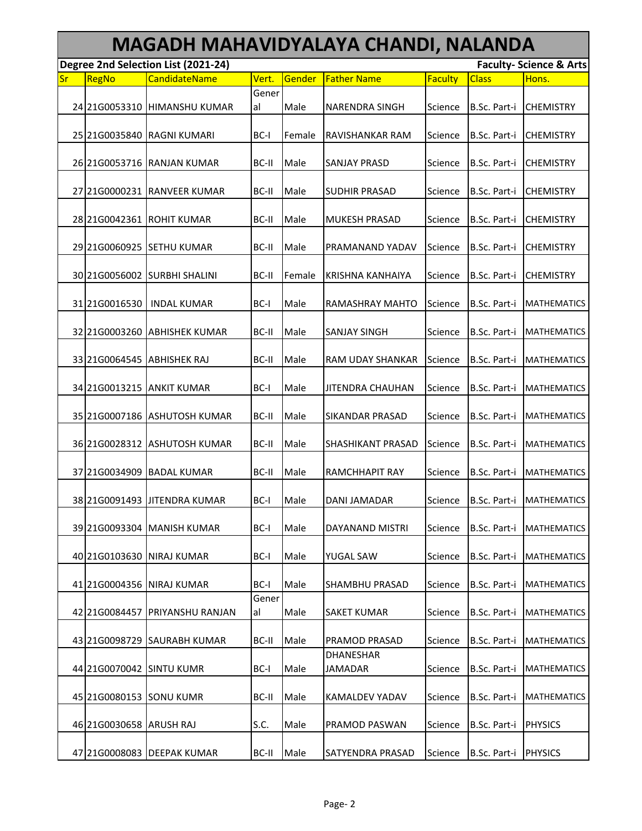|           | MAGADH MAHAVIDYALAYA CHANDI, NALANDA |                                     |             |        |                                    |                |              |                                    |  |  |  |
|-----------|--------------------------------------|-------------------------------------|-------------|--------|------------------------------------|----------------|--------------|------------------------------------|--|--|--|
|           |                                      | Degree 2nd Selection List (2021-24) |             |        |                                    |                |              | <b>Faculty- Science &amp; Arts</b> |  |  |  |
| <b>Sr</b> | RegNo                                | <b>CandidateName</b>                | Vert.       | Gender | <b>Father Name</b>                 | <b>Faculty</b> | <b>Class</b> | Hons.                              |  |  |  |
|           |                                      | 24 21 G0053310 HIMANSHU KUMAR       | Gener<br>al | Male   | <b>NARENDRA SINGH</b>              | Science        | B.Sc. Part-i | <b>CHEMISTRY</b>                   |  |  |  |
|           |                                      | 25 21 G0035840 RAGNI KUMARI         | BC-I        | Female | <b>RAVISHANKAR RAM</b>             | Science        | B.Sc. Part-i | <b>CHEMISTRY</b>                   |  |  |  |
|           |                                      | 26 21 G0053716 RANJAN KUMAR         | BC-II       | Male   | <b>SANJAY PRASD</b>                | Science        | B.Sc. Part-i | <b>CHEMISTRY</b>                   |  |  |  |
|           |                                      | 27 21 G0000231 RANVEER KUMAR        | BC-II       | Male   | <b>SUDHIR PRASAD</b>               | Science        | B.Sc. Part-i | <b>CHEMISTRY</b>                   |  |  |  |
|           |                                      | 28 21 G004 2361 ROHIT KUMAR         | BC-II       | Male   | <b>MUKESH PRASAD</b>               | Science        | B.Sc. Part-i | <b>CHEMISTRY</b>                   |  |  |  |
|           | 29 21G0060925                        | <b>SETHU KUMAR</b>                  | BC-II       | Male   | PRAMANAND YADAV                    | Science        | B.Sc. Part-i | <b>CHEMISTRY</b>                   |  |  |  |
|           | 30 21G0056002                        | <b>SURBHI SHALINI</b>               | BC-II       | Female | <b>KRISHNA KANHAIYA</b>            | Science        | B.Sc. Part-i | <b>CHEMISTRY</b>                   |  |  |  |
|           | 31 21G0016530                        | <b>INDAL KUMAR</b>                  | BC-I        | Male   | <b>RAMASHRAY MAHTO</b>             | Science        | B.Sc. Part-i | <b>MATHEMATICS</b>                 |  |  |  |
|           | 32 21G0003260                        | <b>ABHISHEK KUMAR</b>               | BC-II       | Male   | <b>SANJAY SINGH</b>                | Science        | B.Sc. Part-i | <b>MATHEMATICS</b>                 |  |  |  |
|           |                                      | 33 21 G0064545 ABHISHEK RAJ         | BC-II       | Male   | <b>RAM UDAY SHANKAR</b>            | Science        | B.Sc. Part-i | <b>MATHEMATICS</b>                 |  |  |  |
|           |                                      | 34 21 G0013215 ANKIT KUMAR          | BC-I        | Male   | <b>JITENDRA CHAUHAN</b>            | Science        | B.Sc. Part-i | <b>MATHEMATICS</b>                 |  |  |  |
|           |                                      | 35 21 G0007186 ASHUTOSH KUMAR       | BC-II       | Male   | <b>SIKANDAR PRASAD</b>             | Science        | B.Sc. Part-i | <b>MATHEMATICS</b>                 |  |  |  |
|           |                                      | 36 21 G0028312 ASHUTOSH KUMAR       | BC-II       | Male   | <b>SHASHIKANT PRASAD</b>           | Science        | B.Sc. Part-i | <b>MATHEMATICS</b>                 |  |  |  |
|           | 37 21 G0034909                       | <b>BADAL KUMAR</b>                  | BC-II       | Male   | <b>RAMCHHAPIT RAY</b>              | Science        | B.Sc. Part-i | <b>MATHEMATICS</b>                 |  |  |  |
|           |                                      | 38 21 G0091493 JITENDRA KUMAR       | BC-I        | Male   | DANI JAMADAR                       | Science        | B.Sc. Part-i | <b>MATHEMATICS</b>                 |  |  |  |
|           |                                      | 39 21 G0093304 MANISH KUMAR         | BC-I        | Male   | DAYANAND MISTRI                    | Science        | B.Sc. Part-i | <b>MATHEMATICS</b>                 |  |  |  |
|           | 40 21 G0 10 36 30                    | <b>NIRAJ KUMAR</b>                  | BC-I        | Male   | YUGAL SAW                          | Science        | B.Sc. Part-i | <b>MATHEMATICS</b>                 |  |  |  |
|           | 41 21 G0004356                       | NIRAJ KUMAR                         | BC-I        | Male   | SHAMBHU PRASAD                     | Science        | B.Sc. Part-i | <b>MATHEMATICS</b>                 |  |  |  |
|           | 42 21 G0084457                       | <b>PRIYANSHU RANJAN</b>             | Gener<br>al | Male   | <b>SAKET KUMAR</b>                 | Science        | B.Sc. Part-i | <b>MATHEMATICS</b>                 |  |  |  |
|           | 43 21G0098729                        | <b>SAURABH KUMAR</b>                | BC-II       | Male   | PRAMOD PRASAD                      | Science        | B.Sc. Part-i | <b>MATHEMATICS</b>                 |  |  |  |
|           | 44 21 G00 700 42                     | <b>SINTU KUMR</b>                   | BC-I        | Male   | <b>DHANESHAR</b><br><b>JAMADAR</b> | Science        | B.Sc. Part-i | <b>MATHEMATICS</b>                 |  |  |  |
|           | 45 21 G0080153                       | <b>SONU KUMR</b>                    | BC-II       | Male   | <b>KAMALDEV YADAV</b>              | Science        | B.Sc. Part-i | <b>MATHEMATICS</b>                 |  |  |  |
|           | 46 21 G0030658 ARUSH RAJ             |                                     | S.C.        | Male   | <b>PRAMOD PASWAN</b>               | Science        | B.Sc. Part-i | <b>PHYSICS</b>                     |  |  |  |
|           |                                      | 47 21 G0008083 DEEPAK KUMAR         | BC-II       | Male   | SATYENDRA PRASAD                   | Science        | B.Sc. Part-i | <b>PHYSICS</b>                     |  |  |  |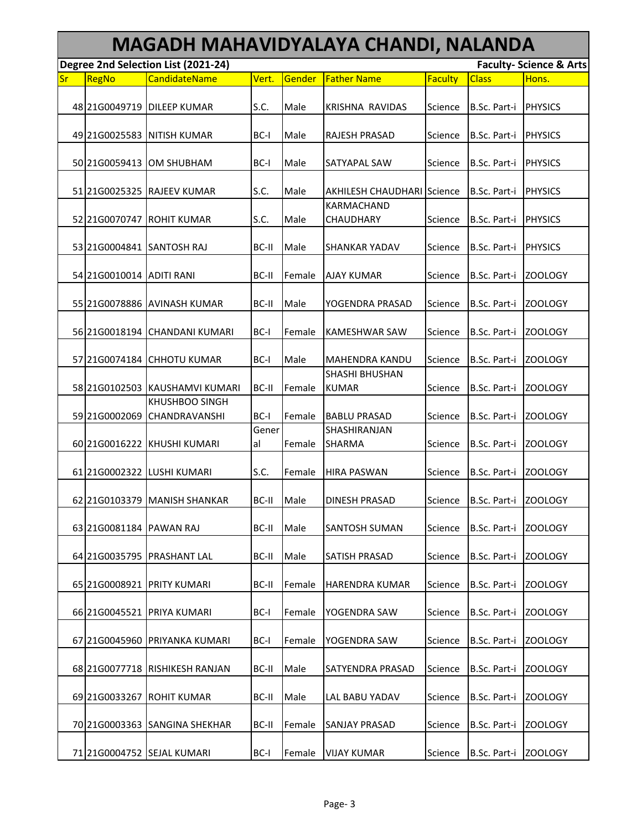|           | MAGADH MAHAVIDYALAYA CHANDI, NALANDA |                                        |             |        |                                       |         |                      |                                    |  |  |  |
|-----------|--------------------------------------|----------------------------------------|-------------|--------|---------------------------------------|---------|----------------------|------------------------------------|--|--|--|
|           |                                      | Degree 2nd Selection List (2021-24)    |             |        |                                       |         |                      | <b>Faculty- Science &amp; Arts</b> |  |  |  |
| <b>Sr</b> | RegNo                                | <b>CandidateName</b>                   | Vert.       | Gender | <b>Father Name</b>                    | Faculty | <b>Class</b>         | Hons.                              |  |  |  |
|           |                                      | 48 21 G0049719 DILEEP KUMAR            | S.C.        | Male   | <b>KRISHNA RAVIDAS</b>                | Science | B.Sc. Part-i         | <b>PHYSICS</b>                     |  |  |  |
|           | 49 21 G00 2558 3                     | <b>NITISH KUMAR</b>                    | BC-I        | Male   | <b>RAJESH PRASAD</b>                  | Science | B.Sc. Part-i         | <b>PHYSICS</b>                     |  |  |  |
|           | 50 21G0059413                        | OM SHUBHAM                             | BC-I        | Male   | SATYAPAL SAW                          | Science | B.Sc. Part-i         | <b>PHYSICS</b>                     |  |  |  |
|           | 51 21G0025325                        | <b>RAJEEV KUMAR</b>                    | S.C.        | Male   | <b>AKHILESH CHAUDHARI Science</b>     |         | B.Sc. Part-i         | <b>PHYSICS</b>                     |  |  |  |
|           | 52 21 G00 70 747                     | <b>ROHIT KUMAR</b>                     | S.C.        | Male   | KARMACHAND<br>CHAUDHARY               | Science | B.Sc. Part-i         | <b>PHYSICS</b>                     |  |  |  |
|           |                                      | 53 21G0004841 SANTOSH RAJ              | BC-II       | Male   | <b>SHANKAR YADAV</b>                  | Science | B.Sc. Part-i         | PHYSICS                            |  |  |  |
|           | 54 21 G0010014 ADITI RANI            |                                        | BC-II       | Female | <b>AJAY KUMAR</b>                     | Science | B.Sc. Part-i         | <b>ZOOLOGY</b>                     |  |  |  |
|           | 55 21G0078886                        | <b>AVINASH KUMAR</b>                   | BC-II       | Male   | YOGENDRA PRASAD                       | Science | B.Sc. Part-i         | <b>ZOOLOGY</b>                     |  |  |  |
|           | 56 21G0018194                        | <b>CHANDANI KUMARI</b>                 | BC-I        | Female | <b>KAMESHWAR SAW</b>                  | Science | B.Sc. Part-i         | ZOOLOGY                            |  |  |  |
|           |                                      | 57 21 G0074184 CHHOTU KUMAR            | BC-I        | Male   | <b>MAHENDRA KANDU</b>                 | Science | B.Sc. Part-i         | ZOOLOGY                            |  |  |  |
|           |                                      | 58 21 G0102503 KAUSHAMVI KUMARI        | BC-II       | Female | <b>SHASHI BHUSHAN</b><br><b>KUMAR</b> | Science | B.Sc. Part-i         | ZOOLOGY                            |  |  |  |
|           | 59 21G0002069                        | <b>KHUSHBOO SINGH</b><br>CHANDRAVANSHI | BC-I        | Female | <b>BABLU PRASAD</b>                   | Science | B.Sc. Part-i         | <b>ZOOLOGY</b>                     |  |  |  |
|           |                                      | 60 21 G0016222 KHUSHI KUMARI           | Gener<br>al | Female | SHASHIRANJAN<br><b>SHARMA</b>         | Science | B.Sc. Part-i         | <b>ZOOLOGY</b>                     |  |  |  |
|           |                                      | 61 21 G0002322 LUSHI KUMARI            | S.C.        | Female | <b>HIRA PASWAN</b>                    | Science | B.Sc. Part-i         | ZOOLOGY                            |  |  |  |
|           |                                      | 62 21 G0103379 MANISH SHANKAR          | BC-II       | Male   | <b>DINESH PRASAD</b>                  | Science | B.Sc. Part-i ZOOLOGY |                                    |  |  |  |
|           | 63 21 G008 1184                      | <b>PAWAN RAJ</b>                       | BC-II       | Male   | <b>SANTOSH SUMAN</b>                  | Science | B.Sc. Part-i         | ZOOLOGY                            |  |  |  |
|           | 64 21G0035795                        | PRASHANT LAL                           | BC-II       | Male   | <b>SATISH PRASAD</b>                  | Science | B.Sc. Part-i         | <b>ZOOLOGY</b>                     |  |  |  |
|           | 65 21G0008921                        | <b>PRITY KUMARI</b>                    | BC-II       | Female | <b>HARENDRA KUMAR</b>                 | Science | B.Sc. Part-i         | ZOOLOGY                            |  |  |  |
|           | 66 21G0045521                        | PRIYA KUMARI                           | BC-I        | Female | YOGENDRA SAW                          | Science | B.Sc. Part-i         | <b>ZOOLOGY</b>                     |  |  |  |
|           | 67 21G0045960                        | PRIYANKA KUMARI                        | BC-I        | Female | YOGENDRA SAW                          | Science | B.Sc. Part-i         | <b>ZOOLOGY</b>                     |  |  |  |
|           | 68 21 600 77718                      | <b>RISHIKESH RANJAN</b>                | BC-II       | Male   | <b>SATYENDRA PRASAD</b>               | Science | B.Sc. Part-i         | <b>ZOOLOGY</b>                     |  |  |  |
|           | 69 21 G0033267                       | <b>ROHIT KUMAR</b>                     | BC-II       | Male   | LAL BABU YADAV                        | Science | B.Sc. Part-i         | <b>ZOOLOGY</b>                     |  |  |  |
|           |                                      | 70 21 G0003363 SANGINA SHEKHAR         | BC-II       | Female | <b>SANJAY PRASAD</b>                  | Science | B.Sc. Part-i         | <b>ZOOLOGY</b>                     |  |  |  |
|           |                                      | 71 21 G0004752 SEJAL KUMARI            | BC-I        | Female | <b>VIJAY KUMAR</b>                    | Science | B.Sc. Part-i         | ZOOLOGY                            |  |  |  |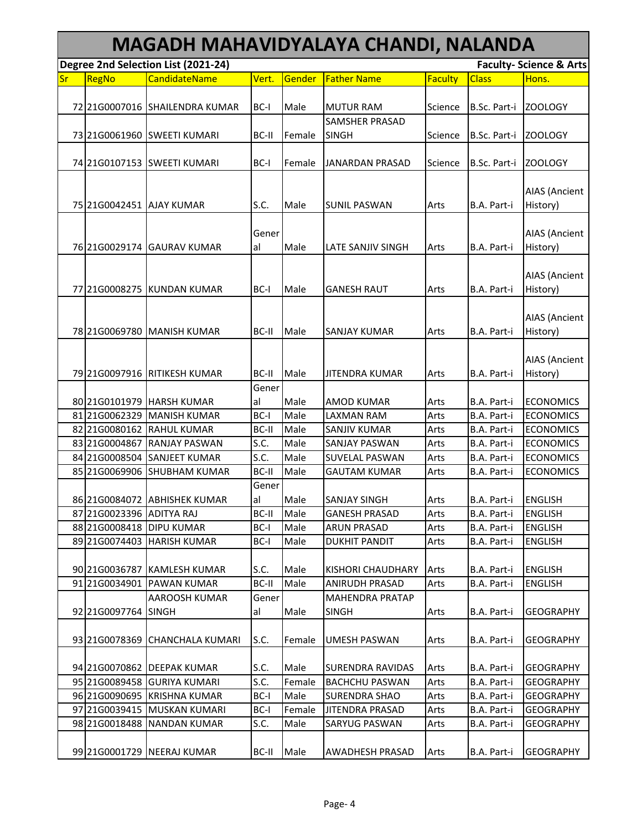|    | MAGADH MAHAVIDYALAYA CHANDI, NALANDA |                                     |       |        |                         |         |              |                                    |  |  |  |
|----|--------------------------------------|-------------------------------------|-------|--------|-------------------------|---------|--------------|------------------------------------|--|--|--|
|    |                                      | Degree 2nd Selection List (2021-24) |       |        |                         |         |              | <b>Faculty- Science &amp; Arts</b> |  |  |  |
| Sr | RegNo                                | <b>CandidateName</b>                | Vert. | Gender | <b>Father Name</b>      | Faculty | <b>Class</b> | Hons.                              |  |  |  |
|    |                                      |                                     |       |        |                         |         |              |                                    |  |  |  |
|    |                                      | 72 21G0007016 SHAILENDRA KUMAR      | BC-I  | Male   | <b>MUTUR RAM</b>        | Science | B.Sc. Part-i | <b>ZOOLOGY</b>                     |  |  |  |
|    |                                      |                                     |       |        | <b>SAMSHER PRASAD</b>   |         |              |                                    |  |  |  |
|    | 73 21G0061960                        | <b>SWEETI KUMARI</b>                | BC-II | Female | <b>SINGH</b>            | Science | B.Sc. Part-i | <b>ZOOLOGY</b>                     |  |  |  |
|    |                                      |                                     |       |        |                         |         |              |                                    |  |  |  |
|    | 74 21 GO107153                       | <b>SWEETI KUMARI</b>                | BC-I  | Female | JANARDAN PRASAD         | Science | B.Sc. Part-i | <b>ZOOLOGY</b>                     |  |  |  |
|    |                                      |                                     |       |        |                         |         |              |                                    |  |  |  |
|    |                                      |                                     |       |        |                         |         |              | <b>AIAS (Ancient</b>               |  |  |  |
|    | 75 21G0042451 AJAY KUMAR             |                                     | S.C.  | Male   | <b>SUNIL PASWAN</b>     | Arts    | B.A. Part-i  | History)                           |  |  |  |
|    |                                      |                                     |       |        |                         |         |              |                                    |  |  |  |
|    |                                      |                                     | Gener |        |                         |         |              | <b>AIAS (Ancient</b>               |  |  |  |
|    |                                      | 76 21 G0029174 GAURAV KUMAR         | al    | Male   | LATE SANJIV SINGH       | Arts    | B.A. Part-i  | History)                           |  |  |  |
|    |                                      |                                     |       |        |                         |         |              |                                    |  |  |  |
|    |                                      |                                     |       |        |                         |         |              | <b>AIAS (Ancient</b>               |  |  |  |
|    | 77 21 G0008275                       | KUNDAN KUMAR                        | BC-I  | Male   | <b>GANESH RAUT</b>      | Arts    | B.A. Part-i  | History)                           |  |  |  |
|    |                                      |                                     |       |        |                         |         |              |                                    |  |  |  |
|    |                                      |                                     |       |        |                         |         |              | <b>AIAS (Ancient</b>               |  |  |  |
|    |                                      | 78 21G0069780 MANISH KUMAR          | BC-II | Male   | <b>SANJAY KUMAR</b>     | Arts    | B.A. Part-i  | History)                           |  |  |  |
|    |                                      |                                     |       |        |                         |         |              |                                    |  |  |  |
|    |                                      |                                     |       |        |                         |         |              | <b>AIAS (Ancient</b>               |  |  |  |
|    |                                      | 79 21 G0097916 RITIKESH KUMAR       | BC-II | Male   | <b>JITENDRA KUMAR</b>   | Arts    | B.A. Part-i  | History)                           |  |  |  |
|    |                                      |                                     | Gener |        |                         |         |              |                                    |  |  |  |
|    |                                      | 80 21G0101979 HARSH KUMAR           | al    | Male   | <b>AMOD KUMAR</b>       | Arts    | B.A. Part-i  | <b>ECONOMICS</b>                   |  |  |  |
|    | 81 21G0062329                        | <b>MANISH KUMAR</b>                 | BC-I  | Male   | LAXMAN RAM              | Arts    | B.A. Part-i  | <b>ECONOMICS</b>                   |  |  |  |
|    | 82 21G0080162                        | <b>RAHUL KUMAR</b>                  | BC-II | Male   | <b>SANJIV KUMAR</b>     | Arts    | B.A. Part-i  | <b>ECONOMICS</b>                   |  |  |  |
|    | 83 21G0004867                        | <b>RANJAY PASWAN</b>                | S.C.  | Male   | <b>SANJAY PASWAN</b>    | Arts    | B.A. Part-i  | <b>ECONOMICS</b>                   |  |  |  |
|    | 84 21G0008504                        | <b>SANJEET KUMAR</b>                | S.C.  | Male   | <b>SUVELAL PASWAN</b>   | Arts    | B.A. Part-i  | <b>ECONOMICS</b>                   |  |  |  |
|    | 85 21G0069906                        | <b>SHUBHAM KUMAR</b>                | BC-II | Male   | <b>GAUTAM KUMAR</b>     | Arts    | B.A. Part-i  | <b>ECONOMICS</b>                   |  |  |  |
|    |                                      |                                     | Gener |        |                         |         |              |                                    |  |  |  |
|    |                                      | 86 21G0084072 ABHISHEK KUMAR        | al    | Male   | <b>SANJAY SINGH</b>     | Arts    | B.A. Part-i  | <b>ENGLISH</b>                     |  |  |  |
|    | 87 21G0023396 ADITYA RAJ             |                                     | BC-II | Male   | <b>GANESH PRASAD</b>    | Arts    | B.A. Part-i  | <b>ENGLISH</b>                     |  |  |  |
|    | 88 21 G0008418 DIPU KUMAR            |                                     | BC-I  | Male   | <b>ARUN PRASAD</b>      | Arts    | B.A. Part-i  | <b>ENGLISH</b>                     |  |  |  |
|    | 89 21G0074403                        | <b>HARISH KUMAR</b>                 | BC-I  | Male   | <b>DUKHIT PANDIT</b>    | Arts    | B.A. Part-i  | <b>ENGLISH</b>                     |  |  |  |
|    |                                      |                                     |       |        |                         |         |              |                                    |  |  |  |
|    |                                      | 90 21G0036787 KAMLESH KUMAR         | S.C.  | Male   | KISHORI CHAUDHARY       | Arts    | B.A. Part-i  | <b>ENGLISH</b>                     |  |  |  |
|    | 91 21G0034901                        | <b>PAWAN KUMAR</b>                  | BC-II | Male   | <b>ANIRUDH PRASAD</b>   | Arts    | B.A. Part-i  | <b>ENGLISH</b>                     |  |  |  |
|    |                                      | AAROOSH KUMAR                       | Gener |        | <b>MAHENDRA PRATAP</b>  |         |              |                                    |  |  |  |
|    | 92 21G0097764                        | <b>SINGH</b>                        | al    | Male   | <b>SINGH</b>            | Arts    | B.A. Part-i  | <b>GEOGRAPHY</b>                   |  |  |  |
|    |                                      |                                     |       |        |                         |         |              |                                    |  |  |  |
|    | 93 21G0078369                        | <b>CHANCHALA KUMARI</b>             | S.C.  | Female | <b>UMESH PASWAN</b>     | Arts    | B.A. Part-i  | <b>GEOGRAPHY</b>                   |  |  |  |
|    |                                      |                                     |       |        |                         |         |              |                                    |  |  |  |
|    |                                      | 94 21 G0070862 DEEPAK KUMAR         | S.C.  | Male   | <b>SURENDRA RAVIDAS</b> | Arts    | B.A. Part-i  | <b>GEOGRAPHY</b>                   |  |  |  |
|    |                                      | 95 21G0089458 GURIYA KUMARI         | S.C.  | Female | <b>BACHCHU PASWAN</b>   | Arts    | B.A. Part-i  | <b>GEOGRAPHY</b>                   |  |  |  |
|    |                                      | 96 21G0090695 KRISHNA KUMAR         | BC-I  | Male   | <b>SURENDRA SHAO</b>    | Arts    | B.A. Part-i  | <b>GEOGRAPHY</b>                   |  |  |  |
|    |                                      | 97 21G0039415 MUSKAN KUMARI         | BC-I  | Female | <b>JITENDRA PRASAD</b>  | Arts    | B.A. Part-i  | <b>GEOGRAPHY</b>                   |  |  |  |
|    | 98 21 G00 1848 8                     | <b>NANDAN KUMAR</b>                 | S.C.  | Male   | SARYUG PASWAN           | Arts    | B.A. Part-i  | GEOGRAPHY                          |  |  |  |
|    |                                      |                                     |       |        |                         |         |              |                                    |  |  |  |
|    |                                      | 99 21G0001729 NEERAJ KUMAR          | BC-II | Male   | AWADHESH PRASAD         | Arts    | B.A. Part-i  | <b>GEOGRAPHY</b>                   |  |  |  |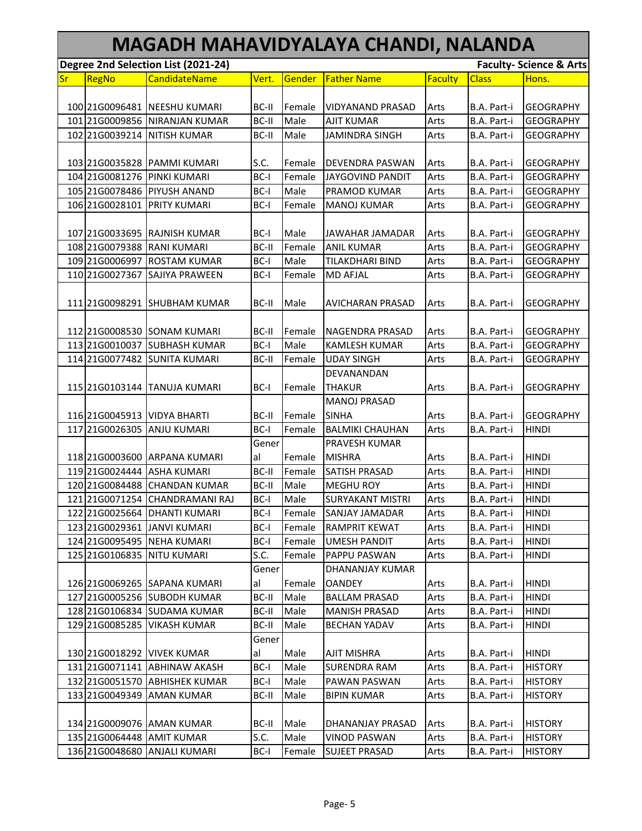|    | MAGADH MAHAVIDYALAYA CHANDI, NALANDA |                                     |              |        |                         |                |              |                                    |  |  |  |
|----|--------------------------------------|-------------------------------------|--------------|--------|-------------------------|----------------|--------------|------------------------------------|--|--|--|
|    |                                      | Degree 2nd Selection List (2021-24) |              |        |                         |                |              | <b>Faculty- Science &amp; Arts</b> |  |  |  |
| Sr | RegNo                                | <b>CandidateName</b>                | Vert.        | Gender | <b>Father Name</b>      | <b>Faculty</b> | <b>Class</b> | Hons.                              |  |  |  |
|    |                                      |                                     |              |        |                         |                |              |                                    |  |  |  |
|    |                                      | 100 21G0096481 NEESHU KUMARI        | BC-II        | Female | <b>VIDYANAND PRASAD</b> | Arts           | B.A. Part-i  | <b>GEOGRAPHY</b>                   |  |  |  |
|    |                                      | 101 21G0009856 NIRANJAN KUMAR       | <b>BC-II</b> | Male   | <b>AJIT KUMAR</b>       | Arts           | B.A. Part-i  | <b>GEOGRAPHY</b>                   |  |  |  |
|    | 102 21G0039214                       | <b>NITISH KUMAR</b>                 | BC-II        | Male   | <b>JAMINDRA SINGH</b>   | Arts           | B.A. Part-i  | <b>GEOGRAPHY</b>                   |  |  |  |
|    |                                      |                                     |              |        |                         |                |              |                                    |  |  |  |
|    |                                      | 103 21G0035828 PAMMI KUMARI         | S.C.         | Female | <b>DEVENDRA PASWAN</b>  | Arts           | B.A. Part-i  | <b>GEOGRAPHY</b>                   |  |  |  |
|    | 104 21G0081276                       | <b>PINKI KUMARI</b>                 | BC-I         | Female | <b>JAYGOVIND PANDIT</b> | Arts           | B.A. Part-i  | <b>GEOGRAPHY</b>                   |  |  |  |
|    | 105 21G0078486                       | <b>PIYUSH ANAND</b>                 | BC-I         | Male   | PRAMOD KUMAR            | Arts           | B.A. Part-i  | <b>GEOGRAPHY</b>                   |  |  |  |
|    |                                      | 106 2160028101 PRITY KUMARI         | BC-I         | Female | <b>MANOJ KUMAR</b>      | Arts           | B.A. Part-i  | <b>GEOGRAPHY</b>                   |  |  |  |
|    |                                      |                                     |              |        |                         |                |              |                                    |  |  |  |
|    |                                      | 107 21G0033695 RAJNISH KUMAR        | BC-I         | Male   | JAWAHAR JAMADAR         | Arts           | B.A. Part-i  | <b>GEOGRAPHY</b>                   |  |  |  |
|    | 108 21G0079388                       | <b>RANI KUMARI</b>                  | <b>BC-II</b> | Female | <b>ANIL KUMAR</b>       | Arts           | B.A. Part-i  | <b>GEOGRAPHY</b>                   |  |  |  |
|    | 109 21G0006997                       | <b>ROSTAM KUMAR</b>                 | BC-I         | Male   | TILAKDHARI BIND         | Arts           | B.A. Part-i  | <b>GEOGRAPHY</b>                   |  |  |  |
|    | 110 21G0027367                       | SAJIYA PRAWEEN                      | BC-I         | Female | <b>MD AFJAL</b>         | Arts           | B.A. Part-i  | <b>GEOGRAPHY</b>                   |  |  |  |
|    |                                      |                                     |              |        |                         |                |              |                                    |  |  |  |
|    |                                      | 111 21 G0098291 SHUBHAM KUMAR       | BC-II        | Male   | <b>AVICHARAN PRASAD</b> | Arts           | B.A. Part-i  | <b>GEOGRAPHY</b>                   |  |  |  |
|    |                                      |                                     |              |        |                         |                |              |                                    |  |  |  |
|    |                                      | 112 2160008530 SONAM KUMARI         | BC-II        | Female | <b>NAGENDRA PRASAD</b>  | Arts           | B.A. Part-i  | <b>GEOGRAPHY</b>                   |  |  |  |
|    |                                      | 113 21G0010037 SUBHASH KUMAR        | BC-I         | Male   | <b>KAMLESH KUMAR</b>    | Arts           | B.A. Part-i  | <b>GEOGRAPHY</b>                   |  |  |  |
|    |                                      | 114 2160077482 SUNITA KUMARI        | BC-II        | Female | <b>UDAY SINGH</b>       | Arts           | B.A. Part-i  | <b>GEOGRAPHY</b>                   |  |  |  |
|    |                                      |                                     |              |        | DEVANANDAN              |                |              |                                    |  |  |  |
|    |                                      | 115 2160103144 TANUJA KUMARI        | BC-I         | Female | <b>THAKUR</b>           | Arts           | B.A. Part-i  | <b>GEOGRAPHY</b>                   |  |  |  |
|    |                                      |                                     |              |        | <b>MANOJ PRASAD</b>     |                |              |                                    |  |  |  |
|    |                                      | 116 2160045913 VIDYA BHARTI         | BC-II        | Female | <b>SINHA</b>            | Arts           | B.A. Part-i  | GEOGRAPHY                          |  |  |  |
|    |                                      | 117 21G0026305 ANJU KUMARI          | BC-I         | Female | <b>BALMIKI CHAUHAN</b>  | Arts           | B.A. Part-i  | <b>HINDI</b>                       |  |  |  |
|    |                                      |                                     | Gener        |        | <b>PRAVESH KUMAR</b>    |                |              |                                    |  |  |  |
|    |                                      | 118 2160003600 ARPANA KUMARI        | al           | Female | <b>MISHRA</b>           | Arts           | B.A. Part-i  | <b>HINDI</b>                       |  |  |  |
|    |                                      | 119 21G0024444 ASHA KUMARI          | BC-II        | Female | <b>SATISH PRASAD</b>    | Arts           | B.A. Part-i  | <b>HINDI</b>                       |  |  |  |
|    | 120 21G0084488                       | <b>CHANDAN KUMAR</b>                | BC-II        | Male   | <b>MEGHU ROY</b>        | Arts           | B.A. Part-i  | <b>HINDI</b>                       |  |  |  |
|    |                                      | 121 21 G0071254 CHANDRAMANI RAJ     | BC-I         | Male   | <b>SURYAKANT MISTRI</b> | Arts           | B.A. Part-i  | <b>HINDI</b>                       |  |  |  |
|    |                                      | 122 21G0025664 DHANTI KUMARI        | BC-I         | Female | <b>SANJAY JAMADAR</b>   | Arts           | B.A. Part-i  | <b>HINDI</b>                       |  |  |  |
|    |                                      | 123 21G0029361 JANVI KUMARI         | BC-I         | Female | <b>RAMPRIT KEWAT</b>    | Arts           | B.A. Part-i  | <b>HINDI</b>                       |  |  |  |
|    |                                      | 124 21G0095495 NEHA KUMARI          | BC-I         | Female | <b>UMESH PANDIT</b>     | Arts           | B.A. Part-i  | <b>HINDI</b>                       |  |  |  |
|    |                                      | 125 2160106835 NITU KUMARI          | S.C.         | Female | PAPPU PASWAN            | Arts           | B.A. Part-i  | <b>HINDI</b>                       |  |  |  |
|    |                                      |                                     | Gener        |        | DHANANJAY KUMAR         |                |              |                                    |  |  |  |
|    |                                      | 126 21G0069265 SAPANA KUMARI        | al           | Female | <b>OANDEY</b>           | Arts           | B.A. Part-i  | <b>HINDI</b>                       |  |  |  |
|    |                                      | 127 21G0005256 SUBODH KUMAR         | BC-II        | Male   | <b>BALLAM PRASAD</b>    | Arts           | B.A. Part-i  | <b>HINDI</b>                       |  |  |  |
|    |                                      | 128 21G0106834 SUDAMA KUMAR         | BC-II        | Male   | MANISH PRASAD           | Arts           | B.A. Part-i  | <b>HINDI</b>                       |  |  |  |
|    | 129 21G0085285                       | <b>VIKASH KUMAR</b>                 | BC-II        | Male   | <b>BECHAN YADAV</b>     | Arts           | B.A. Part-i  | <b>HINDI</b>                       |  |  |  |
|    |                                      |                                     | Gener        |        |                         |                |              |                                    |  |  |  |
|    |                                      | 130 2160018292 VIVEK KUMAR          | al           | Male   | <b>AJIT MISHRA</b>      | Arts           | B.A. Part-i  | <b>HINDI</b>                       |  |  |  |
|    |                                      | 131 21 G0071141 ABHINAW AKASH       | BC-I         | Male   | <b>SURENDRA RAM</b>     | Arts           | B.A. Part-i  | <b>HISTORY</b>                     |  |  |  |
|    |                                      | 132 21G0051570 ABHISHEK KUMAR       | BC-I         | Male   | PAWAN PASWAN            | Arts           | B.A. Part-i  | <b>HISTORY</b>                     |  |  |  |
|    | 133 21 G0049349                      | <b>AMAN KUMAR</b>                   | BC-II        | Male   | <b>BIPIN KUMAR</b>      | Arts           | B.A. Part-i  | <b>HISTORY</b>                     |  |  |  |
|    |                                      |                                     |              |        |                         |                |              |                                    |  |  |  |
|    |                                      | 134 21 G0009076 AMAN KUMAR          | BC-II        | Male   | DHANANJAY PRASAD        | Arts           | B.A. Part-i  | <b>HISTORY</b>                     |  |  |  |
|    |                                      | 135 21G0064448 AMIT KUMAR           | S.C.         | Male   | <b>VINOD PASWAN</b>     | Arts           | B.A. Part-i  | <b>HISTORY</b>                     |  |  |  |
|    |                                      | 136 21G0048680 ANJALI KUMARI        | BC-I         | Female | <b>SUJEET PRASAD</b>    | Arts           | B.A. Part-i  | <b>HISTORY</b>                     |  |  |  |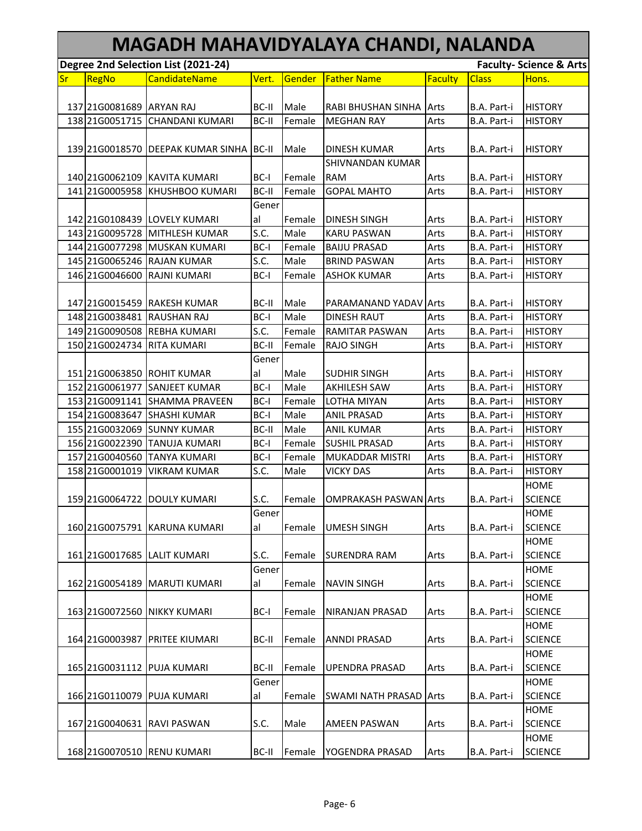|    | MAGADH MAHAVIDYALAYA CHANDI, NALANDA |                                         |       |        |                               |                |              |                                    |  |  |  |
|----|--------------------------------------|-----------------------------------------|-------|--------|-------------------------------|----------------|--------------|------------------------------------|--|--|--|
|    |                                      | Degree 2nd Selection List (2021-24)     |       |        |                               |                |              | <b>Faculty- Science &amp; Arts</b> |  |  |  |
| Sr | RegNo                                | <b>CandidateName</b>                    | Vert. | Gender | <b>Father Name</b>            | <b>Faculty</b> | <b>Class</b> | Hons.                              |  |  |  |
|    | 137 21G0081689 ARYAN RAJ             |                                         | BC-II | Male   | RABI BHUSHAN SINHA Arts       |                | B.A. Part-i  | <b>HISTORY</b>                     |  |  |  |
|    |                                      | 138 21G0051715 CHANDANI KUMARI          | BC-II | Female | <b>MEGHAN RAY</b>             | Arts           | B.A. Part-i  | <b>HISTORY</b>                     |  |  |  |
|    |                                      |                                         |       |        |                               |                |              |                                    |  |  |  |
|    |                                      | 139 21G0018570 DEEPAK KUMAR SINHA BC-II |       | Male   | <b>DINESH KUMAR</b>           | Arts           | B.A. Part-i  | <b>HISTORY</b>                     |  |  |  |
|    |                                      |                                         |       |        | <b>SHIVNANDAN KUMAR</b>       |                |              |                                    |  |  |  |
|    |                                      | 140 2160062109 KAVITA KUMARI            | BC-I  | Female | <b>RAM</b>                    | Arts           | B.A. Part-i  | <b>HISTORY</b>                     |  |  |  |
|    | 141 21G0005958                       | <b>KHUSHBOO KUMARI</b>                  | BC-II | Female | <b>GOPAL MAHTO</b>            | Arts           | B.A. Part-i  | <b>HISTORY</b>                     |  |  |  |
|    |                                      |                                         | Gener |        |                               |                |              |                                    |  |  |  |
|    |                                      | 142 2160108439 LOVELY KUMARI            | al    | Female | <b>DINESH SINGH</b>           | Arts           | B.A. Part-i  | <b>HISTORY</b>                     |  |  |  |
|    |                                      | 143 21G0095728 MITHLESH KUMAR           | S.C.  | Male   | <b>KARU PASWAN</b>            | Arts           | B.A. Part-i  | <b>HISTORY</b>                     |  |  |  |
|    |                                      | 144 2160077298 MUSKAN KUMARI            | BC-I  | Female | <b>BAIJU PRASAD</b>           | Arts           | B.A. Part-i  | <b>HISTORY</b>                     |  |  |  |
|    |                                      | 145 21G0065246 RAJAN KUMAR              | S.C.  | Male   | <b>BRIND PASWAN</b>           | Arts           | B.A. Part-i  | <b>HISTORY</b>                     |  |  |  |
|    | 146 21G0046600                       | <b>RAJNI KUMARI</b>                     | BC-I  | Female | <b>ASHOK KUMAR</b>            | Arts           | B.A. Part-i  | <b>HISTORY</b>                     |  |  |  |
|    |                                      | 147 21G0015459 RAKESH KUMAR             | BC-II | Male   | PARAMANAND YADAV Arts         |                | B.A. Part-i  | <b>HISTORY</b>                     |  |  |  |
|    |                                      | 148 21G0038481 RAUSHAN RAJ              | BC-I  | Male   | <b>DINESH RAUT</b>            | Arts           | B.A. Part-i  | <b>HISTORY</b>                     |  |  |  |
|    | 149 21G0090508                       | <b>REBHA KUMARI</b>                     | S.C.  | Female | <b>RAMITAR PASWAN</b>         | Arts           | B.A. Part-i  | <b>HISTORY</b>                     |  |  |  |
|    | 150 21G0024734                       | <b>RITA KUMARI</b>                      | BC-II | Female | <b>RAJO SINGH</b>             | Arts           | B.A. Part-i  | <b>HISTORY</b>                     |  |  |  |
|    |                                      |                                         | Gener |        |                               |                |              |                                    |  |  |  |
|    |                                      | 151 21G0063850 ROHIT KUMAR              | al    | Male   | <b>SUDHIR SINGH</b>           | Arts           | B.A. Part-i  | <b>HISTORY</b>                     |  |  |  |
|    | 152 21G0061977                       | <b>SANJEET KUMAR</b>                    | BC-I  | Male   | <b>AKHILESH SAW</b>           | Arts           | B.A. Part-i  | <b>HISTORY</b>                     |  |  |  |
|    | 153 21G0091141                       | <b>SHAMMA PRAVEEN</b>                   | BC-I  | Female | LOTHA MIYAN                   | Arts           | B.A. Part-i  | <b>HISTORY</b>                     |  |  |  |
|    | 154 21G0083647                       | <b>SHASHI KUMAR</b>                     | BC-I  | Male   | <b>ANIL PRASAD</b>            | Arts           | B.A. Part-i  | <b>HISTORY</b>                     |  |  |  |
|    |                                      | 155 21G0032069 SUNNY KUMAR              | BC-II | Male   | <b>ANIL KUMAR</b>             | Arts           | B.A. Part-i  | <b>HISTORY</b>                     |  |  |  |
|    |                                      | 156 21G0022390 TANUJA KUMARI            | BC-I  | Female | <b>SUSHIL PRASAD</b>          | Arts           | B.A. Part-i  | <b>HISTORY</b>                     |  |  |  |
|    | 157 21G0040560                       | <b>TANYA KUMARI</b>                     | BC-I  | Female | <b>MUKADDAR MISTRI</b>        | Arts           | B.A. Part-i  | <b>HISTORY</b>                     |  |  |  |
|    | 158 21G0001019                       | <b>VIKRAM KUMAR</b>                     | S.C.  | Male   | <b>VICKY DAS</b>              | Arts           | B.A. Part-i  | <b>HISTORY</b>                     |  |  |  |
|    |                                      |                                         |       |        |                               |                |              | <b>HOME</b>                        |  |  |  |
|    |                                      |                                         |       |        |                               |                |              | <b>SCIENCE</b>                     |  |  |  |
|    |                                      | 159 2160064722 DOULY KUMARI             | S.C.  | Female | <b>OMPRAKASH PASWAN Arts</b>  |                | B.A. Part-i  |                                    |  |  |  |
|    |                                      |                                         | Gener |        |                               |                |              | <b>HOME</b>                        |  |  |  |
|    |                                      | 160 2160075791 KARUNA KUMARI            | al    | Female | <b>UMESH SINGH</b>            | Arts           | B.A. Part-i  | <b>SCIENCE</b>                     |  |  |  |
|    |                                      |                                         |       |        |                               |                |              | <b>HOME</b>                        |  |  |  |
|    |                                      | 161 2160017685 LALIT KUMARI             | S.C.  | Female | <b>SURENDRA RAM</b>           | Arts           | B.A. Part-i  | <b>SCIENCE</b>                     |  |  |  |
|    |                                      |                                         | Gener |        |                               |                |              | <b>HOME</b>                        |  |  |  |
|    |                                      | 162 2160054189 MARUTI KUMARI            | al    | Female | <b>NAVIN SINGH</b>            | Arts           | B.A. Part-i  | <b>SCIENCE</b>                     |  |  |  |
|    |                                      |                                         |       |        |                               |                |              | <b>HOME</b>                        |  |  |  |
|    | 163 21G0072560                       | <b>NIKKY KUMARI</b>                     | BC-I  | Female | NIRANJAN PRASAD               | Arts           | B.A. Part-i  | <b>SCIENCE</b>                     |  |  |  |
|    |                                      |                                         |       |        |                               |                |              | <b>HOME</b>                        |  |  |  |
|    | 164 21G0003987                       | <b>PRITEE KIUMARI</b>                   | BC-II | Female | <b>ANNDI PRASAD</b>           | Arts           | B.A. Part-i  | <b>SCIENCE</b>                     |  |  |  |
|    |                                      |                                         |       |        |                               |                |              | <b>HOME</b>                        |  |  |  |
|    |                                      | 165 2160031112 PUJA KUMARI              | BC-II | Female | <b>UPENDRA PRASAD</b>         | Arts           | B.A. Part-i  | <b>SCIENCE</b>                     |  |  |  |
|    |                                      |                                         | Gener |        |                               |                |              | <b>HOME</b>                        |  |  |  |
|    | 166 21 G0110079                      | <b>PUJA KUMARI</b>                      | al    | Female | <b>SWAMI NATH PRASAD Arts</b> |                | B.A. Part-i  | <b>SCIENCE</b>                     |  |  |  |
|    |                                      |                                         |       |        |                               |                |              | <b>HOME</b>                        |  |  |  |
|    |                                      | 167 21G0040631 RAVI PASWAN              | S.C.  | Male   | <b>AMEEN PASWAN</b>           | Arts           | B.A. Part-i  | <b>SCIENCE</b>                     |  |  |  |
|    |                                      |                                         |       |        |                               |                |              | <b>HOME</b>                        |  |  |  |
|    |                                      | 168 21G0070510 RENU KUMARI              | BC-II | Female | YOGENDRA PRASAD               | Arts           | B.A. Part-i  | <b>SCIENCE</b>                     |  |  |  |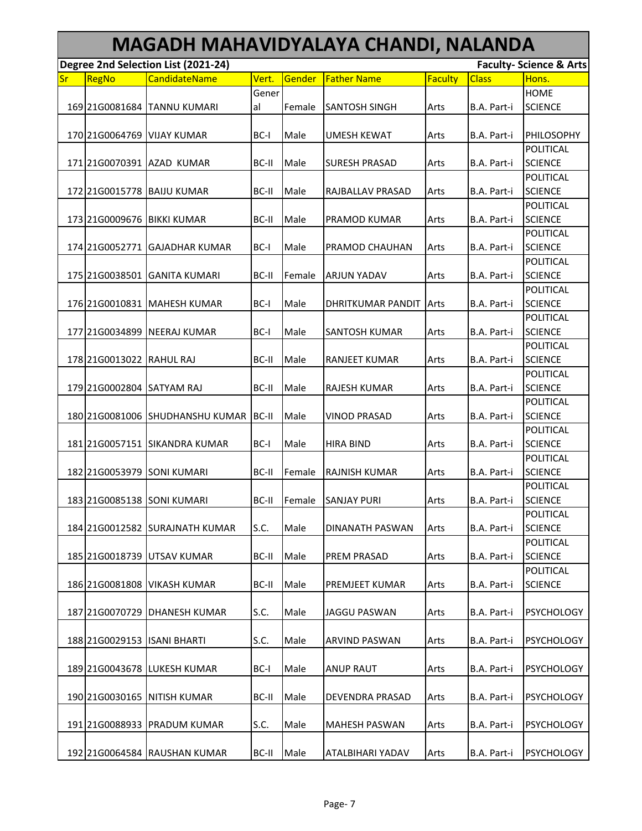|    | MAGADH MAHAVIDYALAYA CHANDI, NALANDA                                      |                                        |       |        |                          |         |              |                             |  |  |  |  |
|----|---------------------------------------------------------------------------|----------------------------------------|-------|--------|--------------------------|---------|--------------|-----------------------------|--|--|--|--|
|    | Degree 2nd Selection List (2021-24)<br><b>Faculty- Science &amp; Arts</b> |                                        |       |        |                          |         |              |                             |  |  |  |  |
| Sr | RegNo                                                                     | <b>CandidateName</b>                   | Vert. | Gender | <b>Father Name</b>       | Faculty | <b>Class</b> | Hons.                       |  |  |  |  |
|    |                                                                           |                                        | Gener |        |                          |         |              | <b>HOME</b>                 |  |  |  |  |
|    | 169 21G0081684                                                            | <b>TANNU KUMARI</b>                    | al    | Female | <b>SANTOSH SINGH</b>     | Arts    | B.A. Part-i  | <b>SCIENCE</b>              |  |  |  |  |
|    | 170 21G0064769                                                            | <b>VIJAY KUMAR</b>                     | BC-I  | Male   | <b>UMESH KEWAT</b>       | Arts    | B.A. Part-i  | PHILOSOPHY                  |  |  |  |  |
|    |                                                                           |                                        |       |        |                          |         |              | POLITICAL                   |  |  |  |  |
|    |                                                                           | 171 2160070391 AZAD KUMAR              | BC-II | Male   | <b>SURESH PRASAD</b>     | Arts    | B.A. Part-i  | <b>SCIENCE</b>              |  |  |  |  |
|    |                                                                           |                                        |       |        |                          |         |              | POLITICAL                   |  |  |  |  |
|    | 172 21G0015778                                                            | <b>BAIJU KUMAR</b>                     | BC-II | Male   | RAJBALLAV PRASAD         | Arts    | B.A. Part-i  | <b>SCIENCE</b>              |  |  |  |  |
|    |                                                                           |                                        |       |        |                          |         |              | POLITICAL                   |  |  |  |  |
|    | 173 21G0009676                                                            | <b>BIKKI KUMAR</b>                     | BC-II | Male   | <b>PRAMOD KUMAR</b>      | Arts    | B.A. Part-i  | <b>SCIENCE</b>              |  |  |  |  |
|    |                                                                           |                                        |       |        |                          |         |              | POLITICAL                   |  |  |  |  |
|    |                                                                           | 174 21G0052771 GAJADHAR KUMAR          | BC-I  | Male   | PRAMOD CHAUHAN           | Arts    | B.A. Part-i  | <b>SCIENCE</b>              |  |  |  |  |
|    |                                                                           |                                        |       |        |                          |         |              | POLITICAL                   |  |  |  |  |
|    | 175 21G0038501                                                            | <b>GANITA KUMARI</b>                   | BC-II | Female | <b>ARJUN YADAV</b>       | Arts    | B.A. Part-i  | <b>SCIENCE</b>              |  |  |  |  |
|    |                                                                           |                                        |       |        |                          |         |              | POLITICAL                   |  |  |  |  |
|    |                                                                           | 176 21G0010831 MAHESH KUMAR            | BC-I  | Male   | <b>DHRITKUMAR PANDIT</b> | Arts    | B.A. Part-i  | <b>SCIENCE</b>              |  |  |  |  |
|    |                                                                           |                                        |       |        |                          |         |              | POLITICAL                   |  |  |  |  |
|    | 177 21G0034899                                                            | <b>NEERAJ KUMAR</b>                    | BC-I  | Male   | <b>SANTOSH KUMAR</b>     | Arts    | B.A. Part-i  | <b>SCIENCE</b>              |  |  |  |  |
|    |                                                                           |                                        |       |        |                          |         |              | POLITICAL                   |  |  |  |  |
|    | 178 21G0013022 RAHUL RAJ                                                  |                                        | BC-II | Male   | <b>RANJEET KUMAR</b>     | Arts    | B.A. Part-i  | <b>SCIENCE</b>              |  |  |  |  |
|    |                                                                           |                                        |       |        |                          |         |              | POLITICAL                   |  |  |  |  |
|    | 179 21G0002804 SATYAM RAJ                                                 |                                        | BC-II | Male   | <b>RAJESH KUMAR</b>      | Arts    | B.A. Part-i  | <b>SCIENCE</b>              |  |  |  |  |
|    |                                                                           |                                        |       |        |                          |         |              | POLITICAL                   |  |  |  |  |
|    |                                                                           | 180 21 G0081006 SHUDHANSHU KUMAR BC-II |       | Male   | <b>VINOD PRASAD</b>      | Arts    | B.A. Part-i  | <b>SCIENCE</b>              |  |  |  |  |
|    |                                                                           |                                        |       |        |                          |         |              | POLITICAL                   |  |  |  |  |
|    | 181 21 G0057151                                                           | <b>SIKANDRA KUMAR</b>                  | BC-I  | Male   | <b>HIRA BIND</b>         | Arts    | B.A. Part-i  | <b>SCIENCE</b>              |  |  |  |  |
|    |                                                                           |                                        |       |        |                          |         |              | POLITICAL                   |  |  |  |  |
|    |                                                                           | 182 21 G0053979 SONI KUMARI            | BC-II | Female | RAJNISH KUMAR            | Arts    | B.A. Part-i  | <b>SCIENCE</b>              |  |  |  |  |
|    |                                                                           |                                        |       |        |                          |         |              | POLITICAL                   |  |  |  |  |
|    |                                                                           | 183 21G0085138 SONI KUMARI             | BC-II | Female | <b>SANJAY PURI</b>       | Arts    | B.A. Part-i  | <b>SCIENCE</b><br>POLITICAL |  |  |  |  |
|    |                                                                           | 184 21 G0012582 SURAJNATH KUMAR        | S.C.  | Male   | DINANATH PASWAN          | Arts    | B.A. Part-i  | <b>SCIENCE</b>              |  |  |  |  |
|    |                                                                           |                                        |       |        |                          |         |              | POLITICAL                   |  |  |  |  |
|    | 185 21G0018739                                                            | UTSAV KUMAR                            | BC-II | Male   | <b>PREM PRASAD</b>       | Arts    | B.A. Part-i  | <b>SCIENCE</b>              |  |  |  |  |
|    |                                                                           |                                        |       |        |                          |         |              | POLITICAL                   |  |  |  |  |
|    | 186 21G0081808                                                            | <b>VIKASH KUMAR</b>                    | BC-II | Male   | PREMJEET KUMAR           | Arts    | B.A. Part-i  | <b>SCIENCE</b>              |  |  |  |  |
|    |                                                                           |                                        |       |        |                          |         |              |                             |  |  |  |  |
|    | 187 21G0070729                                                            | <b>DHANESH KUMAR</b>                   | S.C.  | Male   | <b>JAGGU PASWAN</b>      | Arts    | B.A. Part-i  | <b>PSYCHOLOGY</b>           |  |  |  |  |
|    |                                                                           |                                        |       |        |                          |         |              |                             |  |  |  |  |
|    | 188 21 G00 29 153                                                         | <b>ISANI BHARTI</b>                    | S.C.  | Male   | ARVIND PASWAN            | Arts    | B.A. Part-i  | <b>PSYCHOLOGY</b>           |  |  |  |  |
|    |                                                                           |                                        |       |        |                          |         |              |                             |  |  |  |  |
|    |                                                                           | 189 21 G0043678 LUKESH KUMAR           | BC-I  | Male   | <b>ANUP RAUT</b>         | Arts    | B.A. Part-i  | <b>PSYCHOLOGY</b>           |  |  |  |  |
|    |                                                                           |                                        |       |        |                          |         |              |                             |  |  |  |  |
|    | 190 21 G0030165                                                           | NITISH KUMAR                           | BC-II | Male   | DEVENDRA PRASAD          | Arts    | B.A. Part-i  | <b>PSYCHOLOGY</b>           |  |  |  |  |
|    |                                                                           |                                        |       |        |                          |         |              |                             |  |  |  |  |
|    |                                                                           | 191 21 G0088933 PRADUM KUMAR           | S.C.  | Male   | <b>MAHESH PASWAN</b>     | Arts    | B.A. Part-i  | <b>PSYCHOLOGY</b>           |  |  |  |  |
|    |                                                                           |                                        |       |        |                          |         |              |                             |  |  |  |  |
|    |                                                                           | 192 21G0064584 RAUSHAN KUMAR           | BC-II | Male   | ATALBIHARI YADAV         | Arts    | B.A. Part-i  | <b>PSYCHOLOGY</b>           |  |  |  |  |